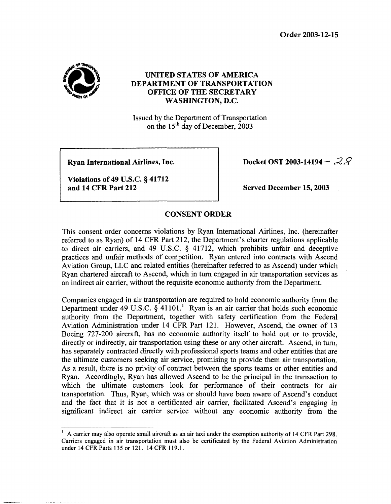**Order 2003-12-15** 



## **UNITED STATES OF AMERICA DEPARTMENT OF TRANSPORTATION OFFICE OF THE SECRETARY WASHINGTON, D.C.**

Issued by the Department of Transportation on the  $15<sup>th</sup>$  day of December, 2003

**Ryan International Airlines, Inc.** 

**Violations of 49 U.S.C.** *5* **41712 and 14 CFR Part 212** 

**I 1** 

**Docket OST 2003-14194 - 28** 

**Served December 15,2003** 

**CONSENT ORDER** 

This consent order concerns violations by Ryan International Airlines, Inc. (hereinafter referred to as Ryan) of 14 CFR Part 212, the Department's charter regulations applicable to direct air carriers, and 49 U.S.C.  $\S$  41712, which prohibits unfair and deceptive practices and unfair methods of competition. Ryan entered into contracts with Ascend Aviation Group, LLC and related entities (hereinafter referred to as Ascend) under which Ryan chartered aircraft to Ascend, which in turn engaged in air transportation services as an indirect air carrier, without the requisite economic authority from the Department.

Companies engaged in air transportation are required to hold economic authority from the Department under 49 U.S.C. **3** 41101.' Ryan is an air carrier that holds such economic authority from the Department, together with safety certification from the Federal Aviation Administration under 14 CFR Part 121. However, Ascend, the owner of 13 Boeing 727-200 aircraft, has no economic authority itself to hold out or to provide, directly or indirectly, air transportation using these or any other aircraft. Ascend, in turn, has separately contracted directly with professional sports teams and other entities that are the ultimate customers seeking air service, promising to provide them air transportation. As a result, there is no privity of contract between the sports teams or other entities and Ryan. Accordingly, Ryan has allowed Ascend to be the principal in the transaction to which the ultimate customers **look** for performance of their contracts for air transportation. Thus, Ryan, which was or should have been aware of Ascend's conduct and the fact that it is not a certificated air carrier, facilitated Ascend's engaging in significant indirect air carrier service without any economic authority from the

<sup>&</sup>lt;sup>1</sup> A carrier may also operate small aircraft as an air taxi under the exemption authority of 14 CFR Part 298. Carriers engaged in air transportation must also be certificated by the Federal Aviation Administration under **14 CFRParts 135** or 121. 14 CFR 119.1.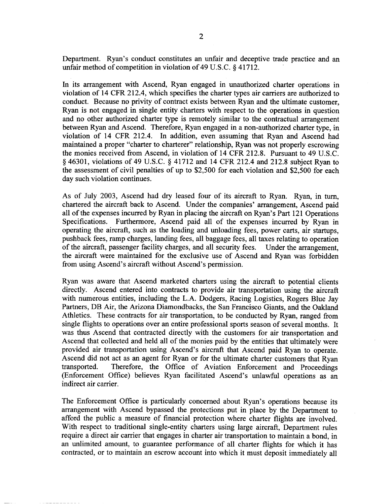Department. Ryan's conduct constitutes an unfair and deceptive trade practice and an unfair method of competition in violation of 49 U.S.C.  $\frac{1}{2}$  41712.

In its arrangement with Ascend, Ryan engaged in unauthorized charter operations in violation of 14 CFR 212.4, which specifies the charter types air carriers are authorized to conduct. Because no privity of contract exists between Ryan and the ultimate customer, Ryan is not engaged in single entity charters with respect to the operations in question and no other authorized charter type is remotely similar to the contractual arrangement between Ryan and Ascend. Therefore, Ryan engaged in a non-authorized charter type, in violation of 14 CFR 212.4. In addition, even assuming that Ryan and Ascend had maintained a proper "charter to charterer" relationship, Ryan was not properly escrowing the monies received from Ascend, in violation of 14 CFR 212.8. Pursuant to 49 U.S.C. § 46301, violations of 49 U.S.C. § 41712 and 14 CFR 212.4 and 212.8 subject Ryan to the assessment of civil penalties of up to \$2,500 for each violation and \$2,500 for each day such violation continues.

As of July 2003, Ascend had dry leased four of its aircraft to Ryan. Ryan, in turn, chartered the aircraft back to Ascend. Under the companies' arrangement, Ascend paid all of the expenses incurred by Ryan in placing the aircraft on Ryan's Part 121 Operations Specifications. Furthermore, Ascend paid all of the expenses incurred by Ryan in operating the aircraft, such as the loading and unloading fees, power carts, air startups, pushback fees, ramp charges, landing fees, all baggage fees, all taxes relating to operation of the aircraft, passenger facility charges, and all security fees. Under the arrangement, the aircraft were maintained for the exclusive use of Ascend and Ryan was forbidden from using Ascend's aircraft without Ascend's permission.

Ryan was aware that Ascend marketed charters using the aircraft to potential clients directly. Ascend entered into contracts to provide air transportation using the aircraft with numerous entities, including the L.A. Dodgers, Racing Logistics, Rogers Blue Jay Partners, DB Air, the Arizona Diamondbacks, the San Francisco Giants, and the Oakland Athletics. These contracts for air transportation, to be conducted by Ryan, ranged from single flights to operations over an entire professional sports season of several months. It was thus Ascend that contracted directly with the customers for air transportation and Ascend that collected and held all of the monies paid by the entities that ultimately were provided air transportation using Ascend's aircraft that Ascend paid Ryan to operate. Ascend did not act as an agent for Ryan or for the ultimate charter customers that Ryan transported. Therefore, the Office of Aviation Enforcement and Proceedings (Enforcement Office) believes Ryan facilitated Ascend's unlawful operations as an indirect air carrier.

The Enforcement Office is particularly concerned about Ryan's operations because its arrangement with Ascend bypassed the protections put in place by the Department to afford the public a measure of financial protection where charter flights are involved. With respect to traditional single-entity charters using large aircraft, Department rules require a direct air carrier that engages in charter air transportation to maintain a bond, in an unlimited amount, to guarantee performance of all charter flights for which it has contracted, or to maintain an escrow account into which it must deposit immediately all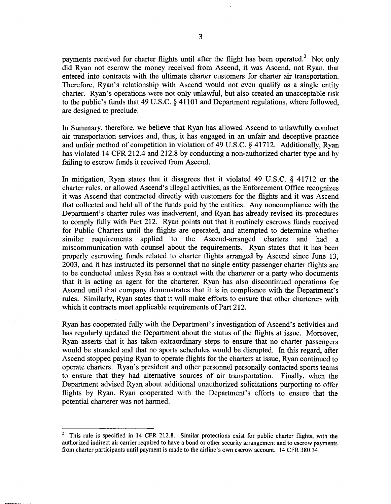payments received for charter flights until after the flight has been operated.<sup>2</sup> Not only did Ryan not escrow the money received from Ascend, it was Ascend, not Ryan, that entered into contracts with the ultimate charter customers for charter air transportation. Therefore, Ryan's relationship with Ascend would not even qualify as a single entity charter. Ryan's operations were not only unlawful, but also created an unacceptable **risk**  to the public's funds that 49 U.S.C. § 41101 and Department regulations, where followed, are designed to preclude.

In Summary, therefore, we believe that Ryan has allowed Ascend to unlawfully conduct air transportation services and, thus, it has engaged in an unfair and deceptive practice and unfair method of competition in violation of 49 U.S.C. **9** 41712. Additionally, Ryan has violated 14 CFR 212.4 and 212.8 by conducting a non-authorized charter type and by failing to escrow funds it received from Ascend.

In mitigation, Ryan states that it disagrees that it violated 49 U.S.C. **6** 41712 or the charter rules, or allowed Ascend's illegal activities, as the Enforcement Office recognizes it was Ascend that contracted directly with customers for the flights and it was Ascend that collected and held all of the funds paid by the entities. Any noncompliance with the Department's charter rules was inadvertent, and Ryan has already revised its procedures to comply fully with Part 212. Ryan points out that it routinely escrows funds received for Public Charters until the flights are operated, and attempted to determine whether similar requirements applied to the Ascend-arranged charters and had a miscommunication with counsel about the requirements. Ryan states that it has been properly escrowing funds related to charter flights arranged by Ascend since June 13, 2003, and it has instructed its personnel that no single entity passenger charter flights are to be conducted unless Ryan has a contract with the charterer or a party who documents that it is acting as agent for the charterer. Ryan has also discontinued operations for Ascend until that company demonstrates that it is in compliance with the Department's rules. Similarly, Ryan states that it will make efforts to ensure that other charterers with which it contracts meet applicable requirements of Part 212.

Ryan has cooperated fully with the Department's investigation of Ascend's activities and has regularly updated the Department about the status of the flights at issue. Moreover, Ryan asserts that it has taken extraordinary steps to ensure that no charter passengers would be stranded and that no sports schedules would be disrupted. In this regard, after Ascend stopped paying Ryan to operate flights for the charters at issue, Ryan continued to operate charters. Ryan's president and other personnel personally contacted sports teams to ensure that they had alternative sources of air transportation. Finally, when the Department advised Ryan about additional unauthorized solicitations purporting to offer flights by Ryan, Ryan cooperated with the Department's efforts to ensure that the potential charterer was not harmed.

**This rule is specified in 14 CFR 212.8. Similar protections exist for public charter flights, with the authorized indirect air carrier required to have a bond or other security arrangement and to escrow payments from charter participants until payment is made to the airline's own escrow account. 14 CFR 380.34. 2**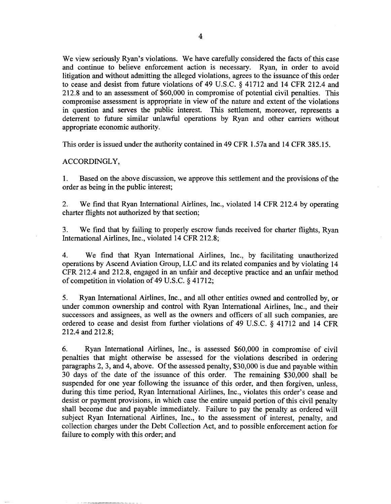We view seriously Ryan's violations. We have carefully considered the facts of this case and continue to believe enforcement action is necessary. Ryan, in order to avoid litigation and without admitting the alleged violations, agrees to the issuance of this order to cease and desist from future violations of 49 U.S.C. **9** 41712 and 14 CFR 212.4 and 212.8 and to an assessment of \$60,000 in compromise of potential civil penalties. This compromise assessment is appropriate in view of the nature and extent of the violations in question and serves the public interest. This settlement, moreover, represents a deterrent to future similar unlawful operations by Ryan and other carriers without appropriate economic authority.

This order is issued under the authority contained in 49 CFR 1.57a and 14 CFR 385.15.

## ACCORDINGLY,

1. order as being in the public interest; Based on the above discussion, we approve this settlement and the provisions of the

2. charter flights not authorized by that section; We find that Ryan International Airlines, Inc., violated 14 CFR 212.4 by operating

3. International Airlines, Inc., violated 14 CFR 212.8; We find that by failing to properly escrow funds received for charter flights, Ryan

4. We find that Ryan International Airlines, Inc., by facilitating unauthorized operations by Ascend Aviation Group, LLC and its related companies and by violating 14 CFR 212.4 and 212.8, engaged in an unfair and deceptive practice and an unfair method of competition in violation of 49 U.S.C. *5* 41712;

5. Ryan International Airlines, Inc., and all other entities owned and controlled by, or under common ownership and control with Ryan International Airlines, Inc., and their successors and assignees, as well as the owners and officers of all such companies, are ordered to cease and desist from further violations of 49 U.S.C. **9** 41712 and 14 CFR 212.4 and 212.8;

6. Ryan International Airlines, Inc., is assessed \$60,000 in compromise of civil penalties that might otherwise be assessed for the violations described in ordering paragraphs 2,3, and 4, above. Of the assessed penalty, \$30,000 is due and payable within 30 days of the date of the issuance of this order. The remaining \$30,000 shall be suspended for one year following the issuance of this order, and then forgiven, unless, during this time period, Ryan International Airlines, Inc., violates this order's cease and desist or payment provisions, in which case the entire unpaid portion of this civil penalty shall become due and payable immediately. Failure to pay the penalty as ordered will subject Ryan Intemational Airlines, Inc., to the assessment of interest, penalty, and collection charges under the Debt Collection Act, and to possible enforcement action for failure to comply with this order; and